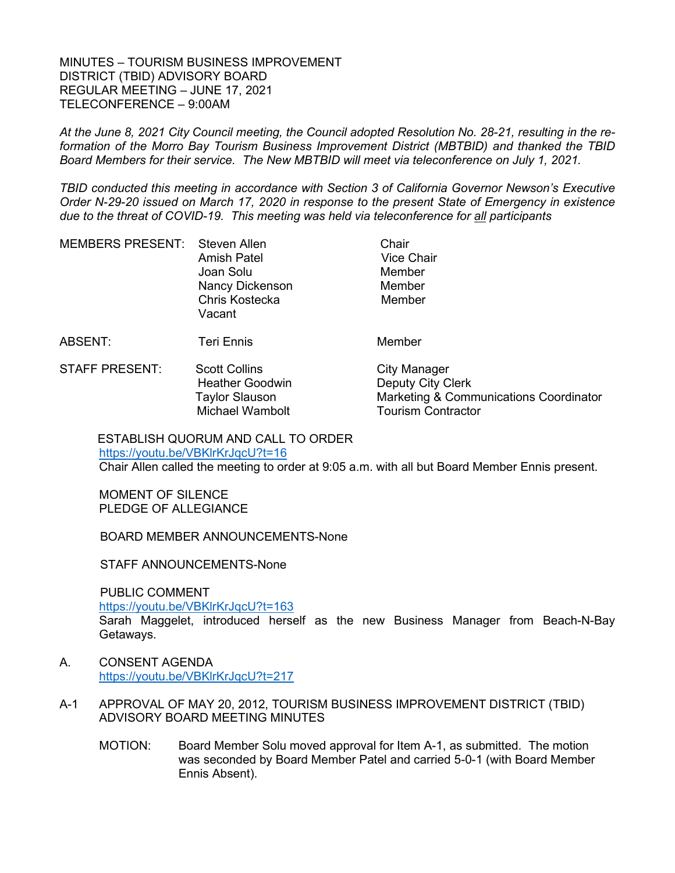MINUTES – TOURISM BUSINESS IMPROVEMENT DISTRICT (TBID) ADVISORY BOARD REGULAR MEETING – JUNE 17, 2021 TELECONFERENCE – 9:00AM

*At the June 8, 2021 City Council meeting, the Council adopted Resolution No. 28-21, resulting in the reformation of the Morro Bay Tourism Business Improvement District (MBTBID) and thanked the TBID Board Members for their service. The New MBTBID will meet via teleconference on July 1, 2021.* 

*TBID conducted this meeting in accordance with Section 3 of California Governor Newson's Executive Order N-29-20 issued on March 17, 2020 in response to the present State of Emergency in existence due to the threat of COVID-19. This meeting was held via teleconference for all participants*

| MEMBERS PRESENT: Steven Allen | <b>Amish Patel</b><br>Joan Solu<br><b>Nancy Dickenson</b><br>Chris Kostecka<br>Vacant | Chair<br><b>Vice Chair</b><br>Member<br>Member<br>Member |
|-------------------------------|---------------------------------------------------------------------------------------|----------------------------------------------------------|
| ABSENT:                       | <b>Teri Ennis</b>                                                                     | Member                                                   |
| <b>STAFF PRESENT:</b>         | <b>Scott Collins</b>                                                                  | <b>City Manager</b>                                      |

STAFF PRESENT: Scott Collins City Manager Heather Goodwin **Deputy City Clerk**  Taylor Slauson Marketing & Communications Coordinator Michael Wambolt **Tourism Contractor** 

ESTABLISH QUORUM AND CALL TO ORDER <https://youtu.be/VBKlrKrJqcU?t=16> Chair Allen called the meeting to order at 9:05 a.m. with all but Board Member Ennis present.

MOMENT OF SILENCE PLEDGE OF ALLEGIANCE

BOARD MEMBER ANNOUNCEMENTS-None

STAFF ANNOUNCEMENTS-None

PUBLIC COMMENT

<https://youtu.be/VBKlrKrJqcU?t=163>

Sarah Maggelet, introduced herself as the new Business Manager from Beach-N-Bay Getaways.

- A. CONSENT AGENDA <https://youtu.be/VBKlrKrJqcU?t=217>
- A-1 APPROVAL OF MAY 20, 2012, TOURISM BUSINESS IMPROVEMENT DISTRICT (TBID) ADVISORY BOARD MEETING MINUTES
	- MOTION: Board Member Solu moved approval for Item A-1, as submitted. The motion was seconded by Board Member Patel and carried 5-0-1 (with Board Member Ennis Absent).